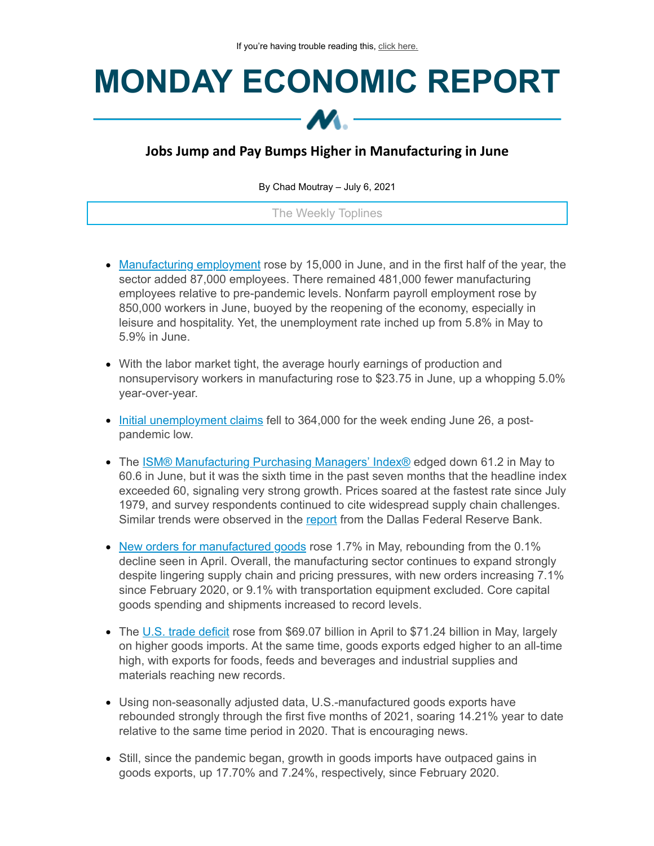# **MONDAY ECONOMIC REPORT**

## **Jobs Jump and Pay Bumps Higher in Manufacturing in June**

By Chad Moutray – July 6, 2021

The Weekly Toplines

- [Manufacturing](https://click.email.nam.org/?qs=38a00f5de4257eafa269d530b9ad62b702250954129054eeebd0fb52d3c397d142b5f58c33ab5a15602136b917a67e96003ebed208b3e1cb) employment rose by 15,000 in June, and in the first half of the year, the sector added 87,000 employees. There remained 481,000 fewer manufacturing employees relative to pre-pandemic levels. Nonfarm payroll employment rose by 850,000 workers in June, buoyed by the reopening of the economy, especially in leisure and hospitality. Yet, the unemployment rate inched up from 5.8% in May to 5.9% in June.
- With the labor market tight, the average hourly earnings of production and nonsupervisory workers in manufacturing rose to \$23.75 in June, up a whopping 5.0% year-over-year.
- Initial [unemployment](https://click.email.nam.org/?qs=38a00f5de4257eaf18ea038cfad772cac8cc44ce98a381b2ef5302a6539baf67fb4d75de76734c2b1f7def23b58b24d9b2fdd097fcfe3ed7) claims fell to 364,000 for the week ending June 26, a postpandemic low.
- The **ISM® [Manufacturing](https://click.email.nam.org/?qs=38a00f5de4257eafb41e132eaf0a63b448f16790bd7d0c3f92101fe13da9cd8a97e6ec174af54d48376ad57be3579c7b6f0d9e0fcaf7a955) Purchasing Managers' Index®** edged down 61.2 in May to 60.6 in June, but it was the sixth time in the past seven months that the headline index exceeded 60, signaling very strong growth. Prices soared at the fastest rate since July 1979, and survey respondents continued to cite widespread supply chain challenges. Similar trends were observed in the [report](https://click.email.nam.org/?qs=38a00f5de4257eafe709d78a715b6929921cc109966449a0a6f07d29b8a3e6c819c99138348a91eab019e513465340648d7e6a3c31c38a1f) from the Dallas Federal Reserve Bank.
- New orders for [manufactured](https://click.email.nam.org/?qs=38a00f5de4257eaf7189d79446015e375e4cd493e92338afce7e5f2e5e4a624177a2894ec5e9c43f5b8062757d440cf2b6d70d7c4f03aa23) goods rose 1.7% in May, rebounding from the 0.1% decline seen in April. Overall, the manufacturing sector continues to expand strongly despite lingering supply chain and pricing pressures, with new orders increasing 7.1% since February 2020, or 9.1% with transportation equipment excluded. Core capital goods spending and shipments increased to record levels.
- The U.S. trade [deficit](https://click.email.nam.org/?qs=38a00f5de4257eaff5ac49ba202dda8b534a63b896b77ec0182eea04798a085f93bdc299a9beb9c0ffdcdfb1fced93e6503e0da00dca13ce) rose from \$69.07 billion in April to \$71.24 billion in May, largely on higher goods imports. At the same time, goods exports edged higher to an all-time high, with exports for foods, feeds and beverages and industrial supplies and materials reaching new records.
- Using non-seasonally adjusted data, U.S.-manufactured goods exports have rebounded strongly through the first five months of 2021, soaring 14.21% year to date relative to the same time period in 2020. That is encouraging news.
- Still, since the pandemic began, growth in goods imports have outpaced gains in goods exports, up 17.70% and 7.24%, respectively, since February 2020.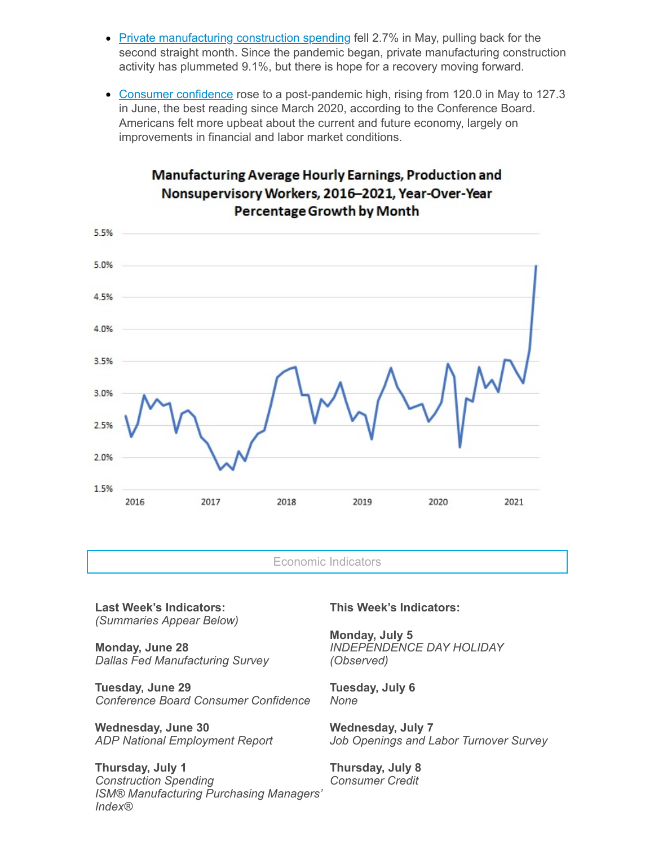- Private [manufacturing](https://click.email.nam.org/?qs=38a00f5de4257eaf3d98723bc8dc9c5437b5b96e9fab5c4b4d02b91fa65c65675c80097593dd860f0fa2f3d75be1b9d0b9ac6f041736bf34) construction spending fell 2.7% in May, pulling back for the second straight month. Since the pandemic began, private manufacturing construction activity has plummeted 9.1%, but there is hope for a recovery moving forward.
- Consumer [confidence](https://click.email.nam.org/?qs=38a00f5de4257eafd0ee85c0c5e3982cc3d1eae7718bad35894028cdeb775e3a018e5a427a19fd859ee1b9009f5a7be31d66e9da75dc3f5c) rose to a post-pandemic high, rising from 120.0 in May to 127.3 in June, the best reading since March 2020, according to the Conference Board. Americans felt more upbeat about the current and future economy, largely on improvements in financial and labor market conditions.

### Manufacturing Average Hourly Earnings, Production and Nonsupervisory Workers, 2016-2021, Year-Over-Year **Percentage Growth by Month**



Economic Indicators

**Last Week's Indicators:** *(Summaries Appear Below)*

**Monday, June 28** *Dallas Fed Manufacturing Survey*

**Tuesday, June 29** *Conference Board Consumer Confidence*

**Wednesday, June 30** *ADP National Employment Report*

**Thursday, July 1** *Construction Spending ISM® Manufacturing Purchasing Managers' Index®*

#### **This Week's Indicators:**

**Monday, July 5** *INDEPENDENCE DAY HOLIDAY (Observed)*

**Tuesday, July 6** *None*

**Wednesday, July 7** *Job Openings and Labor Turnover Survey*

**Thursday, July 8** *Consumer Credit*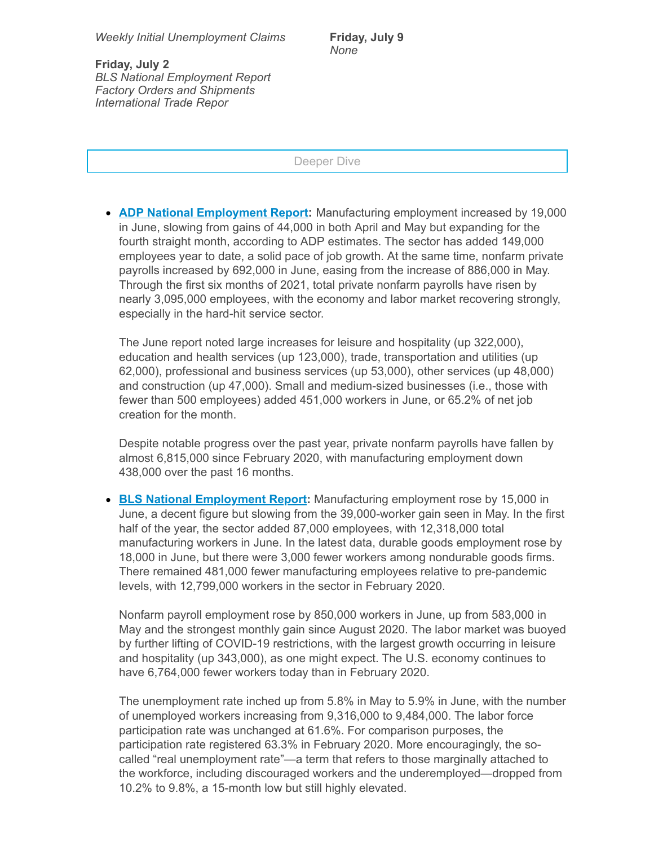**Friday, July 9** *None*

**Friday, July 2** *BLS National Employment Report Factory Orders and Shipments International Trade Repor*

Deeper Dive

**ADP National [Employment](https://click.email.nam.org/?qs=38a00f5de4257eafc4b99e05d5ba3795aadd674d71f97e08eeef171dea59f7ef2dd5a0b47cbbd56d9ba2c9cf53cdde195e3bf7aa949fec35) Report:** Manufacturing employment increased by 19,000 in June, slowing from gains of 44,000 in both April and May but expanding for the fourth straight month, according to ADP estimates. The sector has added 149,000 employees year to date, a solid pace of job growth. At the same time, nonfarm private payrolls increased by 692,000 in June, easing from the increase of 886,000 in May. Through the first six months of 2021, total private nonfarm payrolls have risen by nearly 3,095,000 employees, with the economy and labor market recovering strongly, especially in the hard-hit service sector.

The June report noted large increases for leisure and hospitality (up 322,000), education and health services (up 123,000), trade, transportation and utilities (up 62,000), professional and business services (up 53,000), other services (up 48,000) and construction (up 47,000). Small and medium-sized businesses (i.e., those with fewer than 500 employees) added 451,000 workers in June, or 65.2% of net job creation for the month.

Despite notable progress over the past year, private nonfarm payrolls have fallen by almost 6,815,000 since February 2020, with manufacturing employment down 438,000 over the past 16 months.

**BLS National [Employment](https://click.email.nam.org/?qs=38a00f5de4257eafa269d530b9ad62b702250954129054eeebd0fb52d3c397d142b5f58c33ab5a15602136b917a67e96003ebed208b3e1cb) Report:** Manufacturing employment rose by 15,000 in June, a decent figure but slowing from the 39,000-worker gain seen in May. In the first half of the year, the sector added 87,000 employees, with 12,318,000 total manufacturing workers in June. In the latest data, durable goods employment rose by 18,000 in June, but there were 3,000 fewer workers among nondurable goods firms. There remained 481,000 fewer manufacturing employees relative to pre-pandemic levels, with 12,799,000 workers in the sector in February 2020.

Nonfarm payroll employment rose by 850,000 workers in June, up from 583,000 in May and the strongest monthly gain since August 2020. The labor market was buoyed by further lifting of COVID-19 restrictions, with the largest growth occurring in leisure and hospitality (up 343,000), as one might expect. The U.S. economy continues to have 6,764,000 fewer workers today than in February 2020.

The unemployment rate inched up from 5.8% in May to 5.9% in June, with the number of unemployed workers increasing from 9,316,000 to 9,484,000. The labor force participation rate was unchanged at 61.6%. For comparison purposes, the participation rate registered 63.3% in February 2020. More encouragingly, the socalled "real unemployment rate"—a term that refers to those marginally attached to the workforce, including discouraged workers and the underemployed—dropped from 10.2% to 9.8%, a 15-month low but still highly elevated.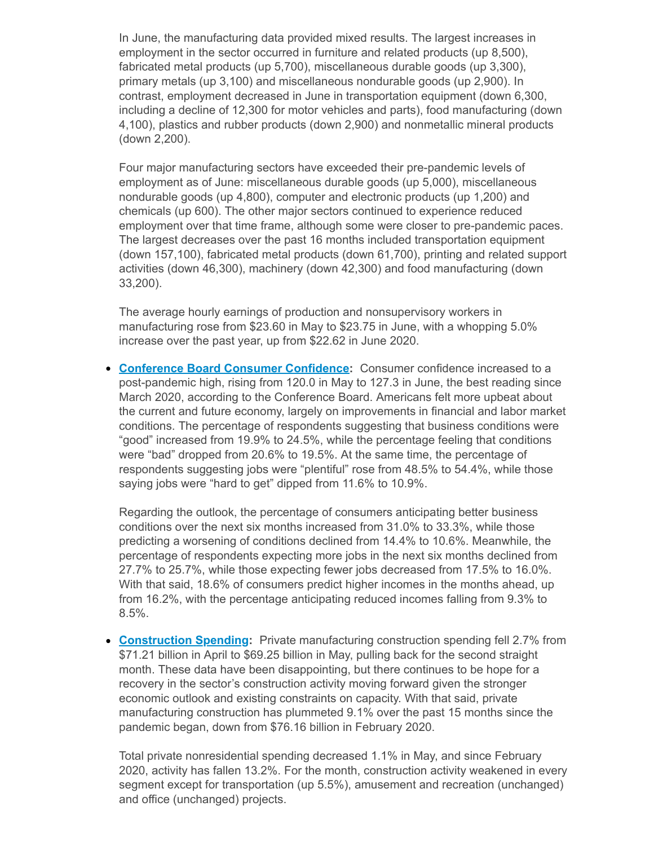In June, the manufacturing data provided mixed results. The largest increases in employment in the sector occurred in furniture and related products (up 8,500), fabricated metal products (up 5,700), miscellaneous durable goods (up 3,300), primary metals (up 3,100) and miscellaneous nondurable goods (up 2,900). In contrast, employment decreased in June in transportation equipment (down 6,300, including a decline of 12,300 for motor vehicles and parts), food manufacturing (down 4,100), plastics and rubber products (down 2,900) and nonmetallic mineral products (down 2,200).

Four major manufacturing sectors have exceeded their pre-pandemic levels of employment as of June: miscellaneous durable goods (up 5,000), miscellaneous nondurable goods (up 4,800), computer and electronic products (up 1,200) and chemicals (up 600). The other major sectors continued to experience reduced employment over that time frame, although some were closer to pre-pandemic paces. The largest decreases over the past 16 months included transportation equipment (down 157,100), fabricated metal products (down 61,700), printing and related support activities (down 46,300), machinery (down 42,300) and food manufacturing (down 33,200).

The average hourly earnings of production and nonsupervisory workers in manufacturing rose from \$23.60 in May to \$23.75 in June, with a whopping 5.0% increase over the past year, up from \$22.62 in June 2020.

**Conference Board Consumer [Confidence:](https://click.email.nam.org/?qs=38a00f5de4257eafd0ee85c0c5e3982cc3d1eae7718bad35894028cdeb775e3a018e5a427a19fd859ee1b9009f5a7be31d66e9da75dc3f5c)** Consumer confidence increased to a post-pandemic high, rising from 120.0 in May to 127.3 in June, the best reading since March 2020, according to the Conference Board. Americans felt more upbeat about the current and future economy, largely on improvements in financial and labor market conditions. The percentage of respondents suggesting that business conditions were "good" increased from 19.9% to 24.5%, while the percentage feeling that conditions were "bad" dropped from 20.6% to 19.5%. At the same time, the percentage of respondents suggesting jobs were "plentiful" rose from 48.5% to 54.4%, while those saying jobs were "hard to get" dipped from 11.6% to 10.9%.

Regarding the outlook, the percentage of consumers anticipating better business conditions over the next six months increased from 31.0% to 33.3%, while those predicting a worsening of conditions declined from 14.4% to 10.6%. Meanwhile, the percentage of respondents expecting more jobs in the next six months declined from 27.7% to 25.7%, while those expecting fewer jobs decreased from 17.5% to 16.0%. With that said, 18.6% of consumers predict higher incomes in the months ahead, up from 16.2%, with the percentage anticipating reduced incomes falling from 9.3% to 8.5%.

**[Construction](https://click.email.nam.org/?qs=38a00f5de4257eaf3d98723bc8dc9c5437b5b96e9fab5c4b4d02b91fa65c65675c80097593dd860f0fa2f3d75be1b9d0b9ac6f041736bf34) Spending:** Private manufacturing construction spending fell 2.7% from \$71.21 billion in April to \$69.25 billion in May, pulling back for the second straight month. These data have been disappointing, but there continues to be hope for a recovery in the sector's construction activity moving forward given the stronger economic outlook and existing constraints on capacity. With that said, private manufacturing construction has plummeted 9.1% over the past 15 months since the pandemic began, down from \$76.16 billion in February 2020.

Total private nonresidential spending decreased 1.1% in May, and since February 2020, activity has fallen 13.2%. For the month, construction activity weakened in every segment except for transportation (up 5.5%), amusement and recreation (unchanged) and office (unchanged) projects.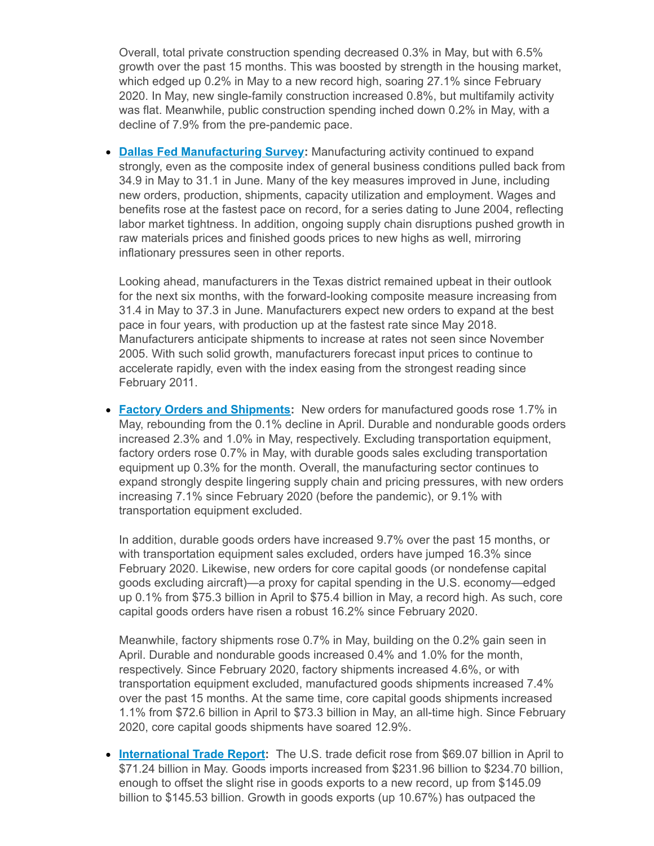Overall, total private construction spending decreased 0.3% in May, but with 6.5% growth over the past 15 months. This was boosted by strength in the housing market, which edged up 0.2% in May to a new record high, soaring 27.1% since February 2020. In May, new single-family construction increased 0.8%, but multifamily activity was flat. Meanwhile, public construction spending inched down 0.2% in May, with a decline of 7.9% from the pre-pandemic pace.

**Dallas Fed [Manufacturing](https://click.email.nam.org/?qs=38a00f5de4257eafe709d78a715b6929921cc109966449a0a6f07d29b8a3e6c819c99138348a91eab019e513465340648d7e6a3c31c38a1f) Survey:** Manufacturing activity continued to expand strongly, even as the composite index of general business conditions pulled back from 34.9 in May to 31.1 in June. Many of the key measures improved in June, including new orders, production, shipments, capacity utilization and employment. Wages and benefits rose at the fastest pace on record, for a series dating to June 2004, reflecting labor market tightness. In addition, ongoing supply chain disruptions pushed growth in raw materials prices and finished goods prices to new highs as well, mirroring inflationary pressures seen in other reports.

Looking ahead, manufacturers in the Texas district remained upbeat in their outlook for the next six months, with the forward-looking composite measure increasing from 31.4 in May to 37.3 in June. Manufacturers expect new orders to expand at the best pace in four years, with production up at the fastest rate since May 2018. Manufacturers anticipate shipments to increase at rates not seen since November 2005. With such solid growth, manufacturers forecast input prices to continue to accelerate rapidly, even with the index easing from the strongest reading since February 2011.

**Factory Orders and [Shipments](https://click.email.nam.org/?qs=38a00f5de4257eaf7189d79446015e375e4cd493e92338afce7e5f2e5e4a624177a2894ec5e9c43f5b8062757d440cf2b6d70d7c4f03aa23):** New orders for manufactured goods rose 1.7% in May, rebounding from the 0.1% decline in April. Durable and nondurable goods orders increased 2.3% and 1.0% in May, respectively. Excluding transportation equipment, factory orders rose 0.7% in May, with durable goods sales excluding transportation equipment up 0.3% for the month. Overall, the manufacturing sector continues to expand strongly despite lingering supply chain and pricing pressures, with new orders increasing 7.1% since February 2020 (before the pandemic), or 9.1% with transportation equipment excluded.

In addition, durable goods orders have increased 9.7% over the past 15 months, or with transportation equipment sales excluded, orders have jumped 16.3% since February 2020. Likewise, new orders for core capital goods (or nondefense capital goods excluding aircraft)—a proxy for capital spending in the U.S. economy—edged up 0.1% from \$75.3 billion in April to \$75.4 billion in May, a record high. As such, core capital goods orders have risen a robust 16.2% since February 2020.

Meanwhile, factory shipments rose 0.7% in May, building on the 0.2% gain seen in April. Durable and nondurable goods increased 0.4% and 1.0% for the month, respectively. Since February 2020, factory shipments increased 4.6%, or with transportation equipment excluded, manufactured goods shipments increased 7.4% over the past 15 months. At the same time, core capital goods shipments increased 1.1% from \$72.6 billion in April to \$73.3 billion in May, an all-time high. Since February 2020, core capital goods shipments have soared 12.9%.

**[International](https://click.email.nam.org/?qs=38a00f5de4257eaff5ac49ba202dda8b534a63b896b77ec0182eea04798a085f93bdc299a9beb9c0ffdcdfb1fced93e6503e0da00dca13ce) Trade Report:** The U.S. trade deficit rose from \$69.07 billion in April to \$71.24 billion in May. Goods imports increased from \$231.96 billion to \$234.70 billion, enough to offset the slight rise in goods exports to a new record, up from \$145.09 billion to \$145.53 billion. Growth in goods exports (up 10.67%) has outpaced the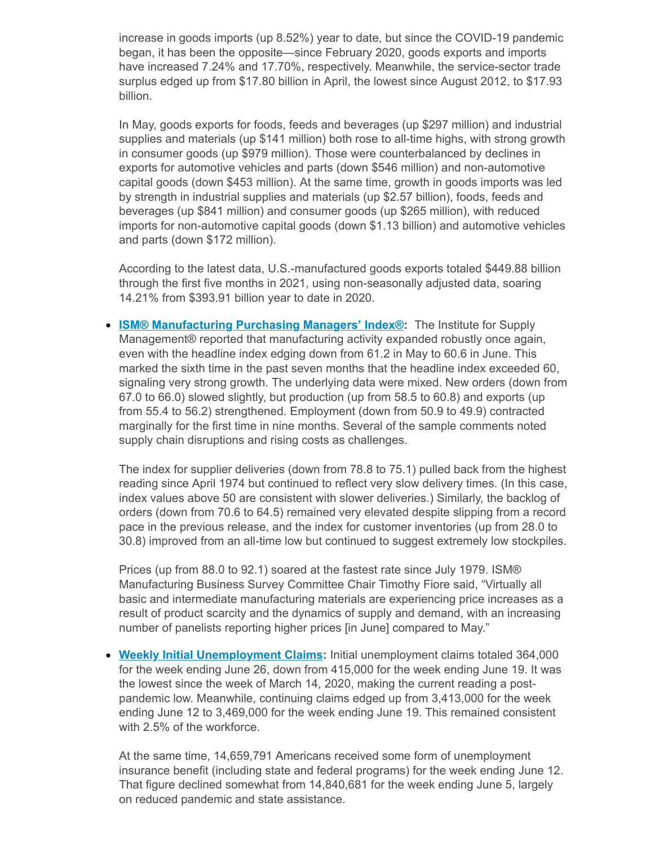increase in goods imports (up 8.52%) year to date, but since the COVID-19 pandemic began, it has been the opposite—since February 2020, goods exports and imports have increased 7.24% and 17.70%, respectively. Meanwhile, the service-sector trade surplus edged up from \$17.80 billion in April, the lowest since August 2012, to \$17.93 billion.

In May, goods exports for foods, feeds and beverages (up \$297 million) and industrial supplies and materials (up \$141 million) both rose to all-time highs, with strong growth in consumer goods (up \$979 million). Those were counterbalanced by declines in exports for automotive vehicles and parts (down \$546 million) and non-automotive capital goods (down \$453 million). At the same time, growth in goods imports was led by strength in industrial supplies and materials (up \$2.57 billion), foods, feeds and beverages (up \$841 million) and consumer goods (up \$265 million), with reduced imports for non-automotive capital goods (down \$1.13 billion) and automotive vehicles and parts (down \$172 million).

According to the latest data, U.S.-manufactured goods exports totaled \$449.88 billion through the first five months in 2021, using non-seasonally adjusted data, soaring 14.21% from \$393.91 billion year to date in 2020.

**ISM® [Manufacturing](https://click.email.nam.org/?qs=38a00f5de4257eafb41e132eaf0a63b448f16790bd7d0c3f92101fe13da9cd8a97e6ec174af54d48376ad57be3579c7b6f0d9e0fcaf7a955) Purchasing Managers' Index®:** The Institute for Supply Management® reported that manufacturing activity expanded robustly once again, even with the headline index edging down from 61.2 in May to 60.6 in June. This marked the sixth time in the past seven months that the headline index exceeded 60, signaling very strong growth. The underlying data were mixed. New orders (down from 67.0 to 66.0) slowed slightly, but production (up from 58.5 to 60.8) and exports (up from 55.4 to 56.2) strengthened. Employment (down from 50.9 to 49.9) contracted marginally for the first time in nine months. Several of the sample comments noted supply chain disruptions and rising costs as challenges.

The index for supplier deliveries (down from 78.8 to 75.1) pulled back from the highest reading since April 1974 but continued to reflect very slow delivery times. (In this case, index values above 50 are consistent with slower deliveries.) Similarly, the backlog of orders (down from 70.6 to 64.5) remained very elevated despite slipping from a record pace in the previous release, and the index for customer inventories (up from 28.0 to 30.8) improved from an all-time low but continued to suggest extremely low stockpiles.

Prices (up from 88.0 to 92.1) soared at the fastest rate since July 1979. ISM® Manufacturing Business Survey Committee Chair Timothy Fiore said, "Virtually all basic and intermediate manufacturing materials are experiencing price increases as a result of product scarcity and the dynamics of supply and demand, with an increasing number of panelists reporting higher prices [in June] compared to May."

**Weekly Initial [Unemployment](https://click.email.nam.org/?qs=38a00f5de4257eaf18ea038cfad772cac8cc44ce98a381b2ef5302a6539baf67fb4d75de76734c2b1f7def23b58b24d9b2fdd097fcfe3ed7) Claims:** Initial unemployment claims totaled 364,000 for the week ending June 26, down from 415,000 for the week ending June 19. It was the lowest since the week of March 14, 2020, making the current reading a postpandemic low. Meanwhile, continuing claims edged up from 3,413,000 for the week ending June 12 to 3,469,000 for the week ending June 19. This remained consistent with 2.5% of the workforce.

At the same time, 14,659,791 Americans received some form of unemployment insurance benefit (including state and federal programs) for the week ending June 12. That figure declined somewhat from 14,840,681 for the week ending June 5, largely on reduced pandemic and state assistance.